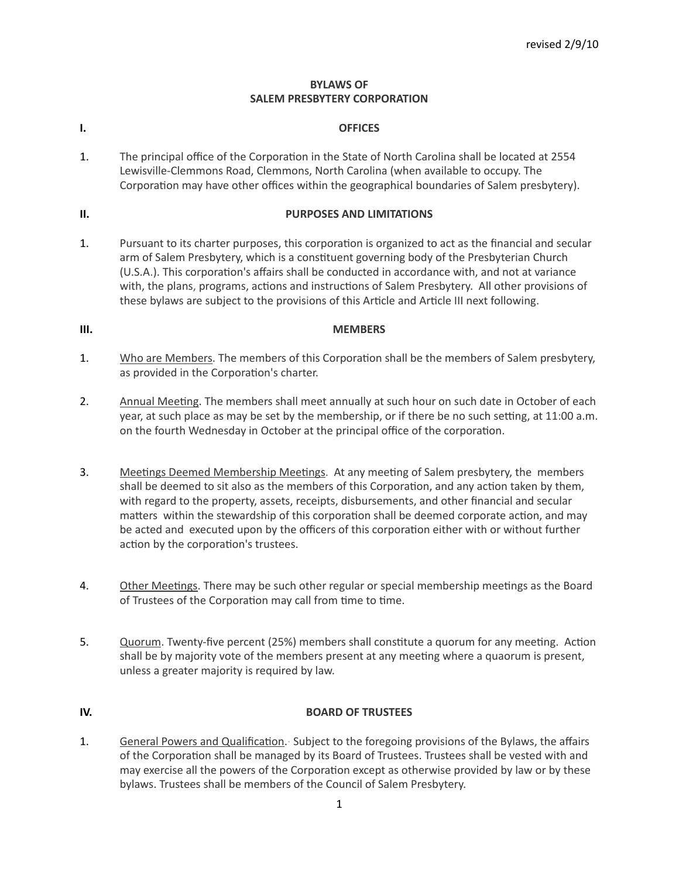# **BYLAWS OF SALEM PRESBYTERY CORPORATION**

# **I. OFFICES**

1. The principal office of the Corporation in the State of North Carolina shall be located at 2554 Lewisville-Clemmons Road, Clemmons, North Carolina (when available to occupy. The Corporation may have other offices within the geographical boundaries of Salem presbytery).

# **II. PURPOSES AND LIMITATIONS**

1. Pursuant to its charter purposes, this corporation is organized to act as the financial and secular arm of Salem Presbytery, which is a constituent governing body of the Presbyterian Church (U.S.A.). This corporation's affairs shall be conducted in accordance with, and not at variance with, the plans, programs, actions and instructions of Salem Presbytery. All other provisions of these bylaws are subject to the provisions of this Article and Article III next following.

# **III. MEMBERS**

- 1. Who are Members. The members of this Corporation shall be the members of Salem presbytery, as provided in the Corporation's charter.
- 2. Annual Meeting. The members shall meet annually at such hour on such date in October of each year, at such place as may be set by the membership, or if there be no such setting, at 11:00 a.m. on the fourth Wednesday in October at the principal office of the corporation.
- 3. Meetings Deemed Membership Meetings. At any meeting of Salem presbytery, the members shall be deemed to sit also as the members of this Corporation, and any action taken by them, with regard to the property, assets, receipts, disbursements, and other financial and secular matters within the stewardship of this corporation shall be deemed corporate action, and may be acted and executed upon by the officers of this corporation either with or without further action by the corporation's trustees.
- 4. Other Meetings. There may be such other regular or special membership meetings as the Board of Trustees of the Corporation may call from time to time.
- 5. Quorum. Twenty-five percent (25%) members shall constitute a quorum for any meeting. Action shall be by majority vote of the members present at any meeting where a quaorum is present, unless a greater majority is required by law.

# **IV. BOARD OF TRUSTEES**

1. General Powers and Qualification. Subject to the foregoing provisions of the Bylaws, the affairs of the Corporation shall be managed by its Board of Trustees. Trustees shall be vested with and may exercise all the powers of the Corporation except as otherwise provided by law or by these bylaws. Trustees shall be members of the Council of Salem Presbytery.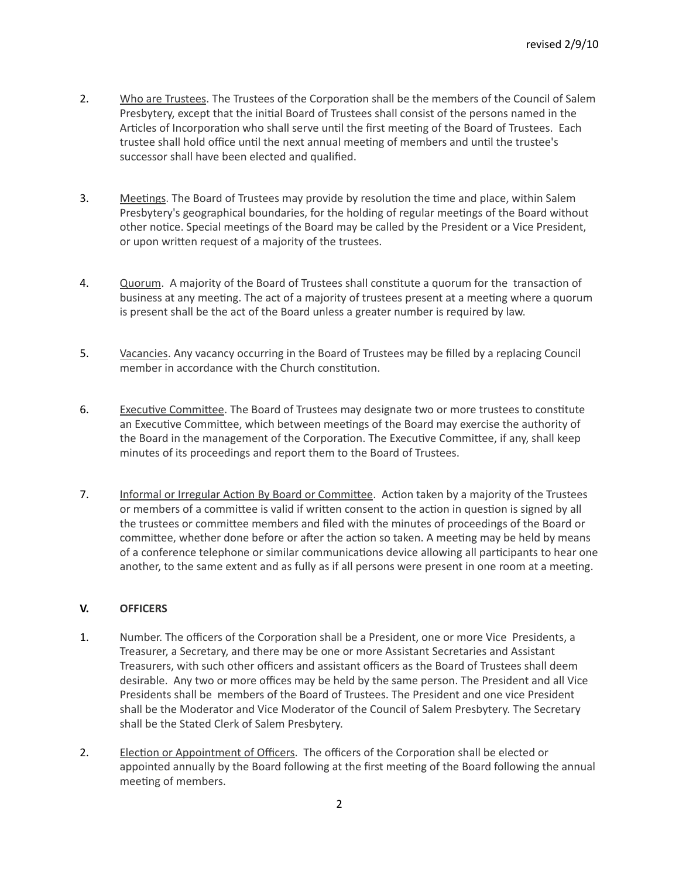- 2. Who are Trustees. The Trustees of the Corporation shall be the members of the Council of Salem Presbytery, except that the initial Board of Trustees shall consist of the persons named in the Articles of Incorporation who shall serve until the first meeting of the Board of Trustees. Each trustee shall hold office until the next annual meeting of members and until the trustee's successor shall have been elected and qualified.
- 3. Meetings. The Board of Trustees may provide by resolution the time and place, within Salem Presbytery's geographical boundaries, for the holding of regular meetings of the Board without other notice. Special meetings of the Board may be called by the President or a Vice President, or upon written request of a majority of the trustees.
- 4. Quorum. A majority of the Board of Trustees shall constitute a quorum for the transaction of business at any meeting. The act of a majority of trustees present at a meeting where a quorum is present shall be the act of the Board unless a greater number is required by law.
- 5. Vacancies. Any vacancy occurring in the Board of Trustees may be filled by a replacing Council member in accordance with the Church constitution.
- 6. Executive Committee. The Board of Trustees may designate two or more trustees to constitute an Executive Committee, which between meetings of the Board may exercise the authority of the Board in the management of the Corporation. The Executive Committee, if any, shall keep minutes of its proceedings and report them to the Board of Trustees.
- 7. Informal or Irregular Action By Board or Committee. Action taken by a majority of the Trustees or members of a committee is valid if written consent to the action in question is signed by all the trustees or committee members and filed with the minutes of proceedings of the Board or committee, whether done before or after the action so taken. A meeting may be held by means of a conference telephone or similar communications device allowing all participants to hear one another, to the same extent and as fully as if all persons were present in one room at a meeting.

# **V. OFFICERS**

- 1. Number. The officers of the Corporation shall be a President, one or more Vice Presidents, a Treasurer, a Secretary, and there may be one or more Assistant Secretaries and Assistant Treasurers, with such other officers and assistant officers as the Board of Trustees shall deem desirable. Any two or more offices may be held by the same person. The President and all Vice Presidents shall be members of the Board of Trustees. The President and one vice President shall be the Moderator and Vice Moderator of the Council of Salem Presbytery. The Secretary shall be the Stated Clerk of Salem Presbytery.
- 2. Election or Appointment of Officers. The officers of the Corporation shall be elected or appointed annually by the Board following at the first meeting of the Board following the annual meeting of members.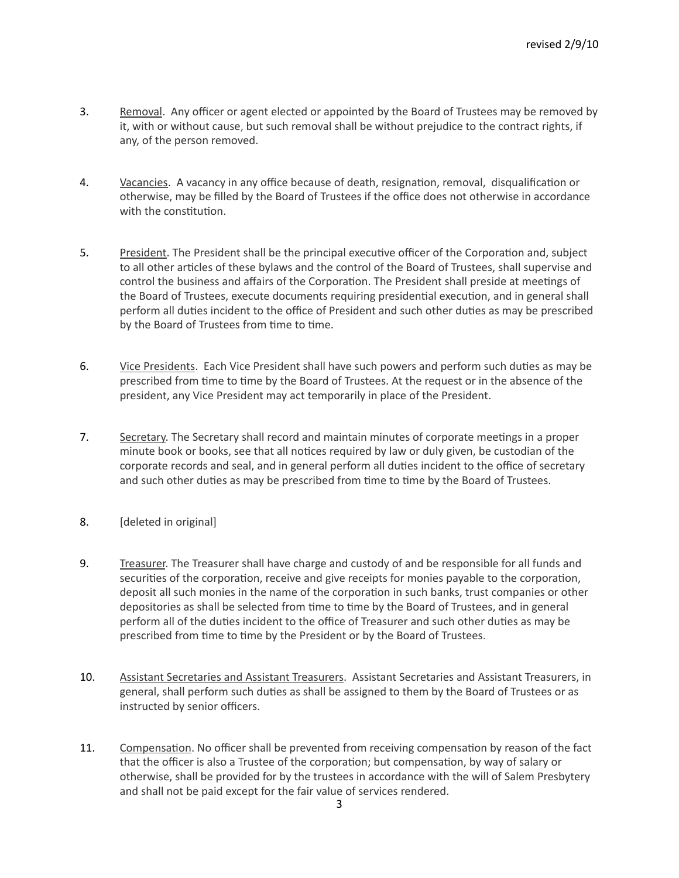- 3. Removal. Any officer or agent elected or appointed by the Board of Trustees may be removed by it, with or without cause, but such removal shall be without prejudice to the contract rights, if any, of the person removed.
- 4. Vacancies. A vacancy in any office because of death, resignation, removal, disqualification or otherwise, may be filled by the Board of Trustees if the office does not otherwise in accordance with the constitution.
- 5. President. The President shall be the principal executive officer of the Corporation and, subject to all other articles of these bylaws and the control of the Board of Trustees, shall supervise and control the business and affairs of the Corporation. The President shall preside at meetings of the Board of Trustees, execute documents requiring presidential execution, and in general shall perform all duties incident to the office of President and such other duties as may be prescribed by the Board of Trustees from time to time.
- 6. Vice Presidents. Each Vice President shall have such powers and perform such duties as may be prescribed from time to time by the Board of Trustees. At the request or in the absence of the president, any Vice President may act temporarily in place of the President.
- 7. Secretary. The Secretary shall record and maintain minutes of corporate meetings in a proper minute book or books, see that all notices required by law or duly given, be custodian of the corporate records and seal, and in general perform all duties incident to the office of secretary and such other duties as may be prescribed from time to time by the Board of Trustees.
- 8. [deleted in original]
- 9. Treasurer. The Treasurer shall have charge and custody of and be responsible for all funds and securities of the corporation, receive and give receipts for monies payable to the corporation, deposit all such monies in the name of the corporation in such banks, trust companies or other depositories as shall be selected from time to time by the Board of Trustees, and in general perform all of the duties incident to the office of Treasurer and such other duties as may be prescribed from time to time by the President or by the Board of Trustees.
- 10. Assistant Secretaries and Assistant Treasurers. Assistant Secretaries and Assistant Treasurers, in general, shall perform such duties as shall be assigned to them by the Board of Trustees or as instructed by senior officers.
- 11. Compensation. No officer shall be prevented from receiving compensation by reason of the fact that the officer is also a Trustee of the corporation; but compensation, by way of salary or otherwise, shall be provided for by the trustees in accordance with the will of Salem Presbytery and shall not be paid except for the fair value of services rendered.